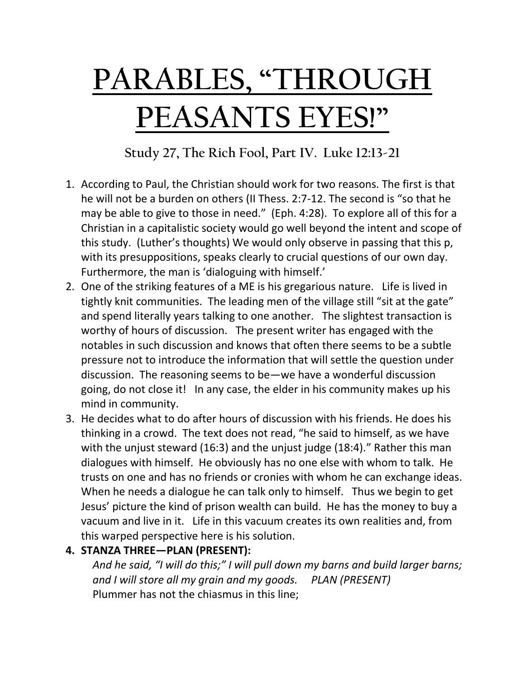## **PARABLES, "THROUGH PEASANTS EYES!"**

**Study 27, The Rich Fool, Part IV. Luke 12:13-21**

- 1. According to Paul, the Christian should work for two reasons. The first is that he will not be a burden on others (II Thess. 2:7-12. The second is "so that he may be able to give to those in need." (Eph. 4:28). To explore all of this for a Christian in a capitalistic society would go well beyond the intent and scope of this study. (Luther's thoughts) We would only observe in passing that this p, with its presuppositions, speaks clearly to crucial questions of our own day. Furthermore, the man is 'dialoguing with himself.'
- 2. One of the striking features of a ME is his gregarious nature. Life is lived in tightly knit communities. The leading men of the village still "sit at the gate" and spend literally years talking to one another. The slightest transaction is worthy of hours of discussion. The present writer has engaged with the notables in such discussion and knows that often there seems to be a subtle pressure not to introduce the information that will settle the question under discussion. The reasoning seems to be—we have a wonderful discussion going, do not close it! In any case, the elder in his community makes up his mind in community.
- 3. He decides what to do after hours of discussion with his friends. He does his thinking in a crowd. The text does not read, "he said to himself, as we have with the unjust steward (16:3) and the unjust judge (18:4)." Rather this man dialogues with himself. He obviously has no one else with whom to talk. He trusts on one and has no friends or cronies with whom he can exchange ideas. When he needs a dialogue he can talk only to himself. Thus we begin to get Jesus' picture the kind of prison wealth can build. He has the money to buy a vacuum and live in it. Life in this vacuum creates its own realities and, from this warped perspective here is his solution.

## **4. STANZA THREE—PLAN (PRESENT):**

*And he said, "I will do this;" I will pull down my barns and build larger barns; and I will store all my grain and my goods. PLAN (PRESENT)* Plummer has not the chiasmus in this line;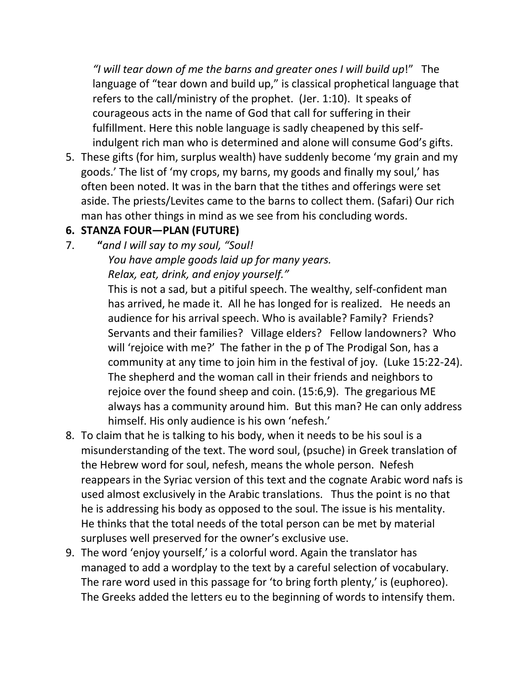*"I will tear down of me the barns and greater ones I will build up*!" The language of "tear down and build up," is classical prophetical language that refers to the call/ministry of the prophet. (Jer. 1:10). It speaks of courageous acts in the name of God that call for suffering in their fulfillment. Here this noble language is sadly cheapened by this selfindulgent rich man who is determined and alone will consume God's gifts.

5. These gifts (for him, surplus wealth) have suddenly become 'my grain and my goods.' The list of 'my crops, my barns, my goods and finally my soul,' has often been noted. It was in the barn that the tithes and offerings were set aside. The priests/Levites came to the barns to collect them. (Safari) Our rich man has other things in mind as we see from his concluding words.

## **6. STANZA FOUR—PLAN (FUTURE)**

7. **"***and I will say to my soul, "Soul!*

*You have ample goods laid up for many years. Relax, eat, drink, and enjoy yourself."*

This is not a sad, but a pitiful speech. The wealthy, self-confident man has arrived, he made it. All he has longed for is realized. He needs an audience for his arrival speech. Who is available? Family? Friends? Servants and their families? Village elders? Fellow landowners? Who will 'rejoice with me?' The father in the p of The Prodigal Son, has a community at any time to join him in the festival of joy. (Luke 15:22-24). The shepherd and the woman call in their friends and neighbors to rejoice over the found sheep and coin. (15:6,9). The gregarious ME always has a community around him. But this man? He can only address himself. His only audience is his own 'nefesh.'

- 8. To claim that he is talking to his body, when it needs to be his soul is a misunderstanding of the text. The word soul, (psuche) in Greek translation of the Hebrew word for soul, nefesh, means the whole person. Nefesh reappears in the Syriac version of this text and the cognate Arabic word nafs is used almost exclusively in the Arabic translations. Thus the point is no that he is addressing his body as opposed to the soul. The issue is his mentality. He thinks that the total needs of the total person can be met by material surpluses well preserved for the owner's exclusive use.
- 9. The word 'enjoy yourself,' is a colorful word. Again the translator has managed to add a wordplay to the text by a careful selection of vocabulary. The rare word used in this passage for 'to bring forth plenty,' is (euphoreo). The Greeks added the letters eu to the beginning of words to intensify them.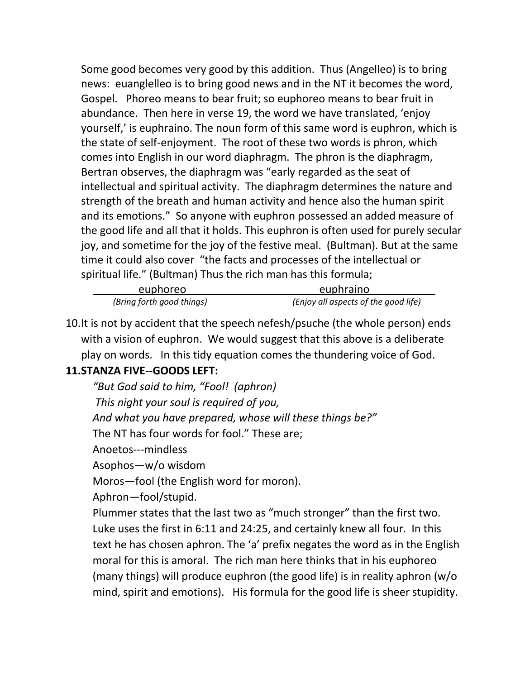Some good becomes very good by this addition. Thus (Angelleo) is to bring news: euanglelleo is to bring good news and in the NT it becomes the word, Gospel. Phoreo means to bear fruit; so euphoreo means to bear fruit in abundance. Then here in verse 19, the word we have translated, 'enjoy yourself,' is euphraino. The noun form of this same word is euphron, which is the state of self-enjoyment. The root of these two words is phron, which comes into English in our word diaphragm. The phron is the diaphragm, Bertran observes, the diaphragm was "early regarded as the seat of intellectual and spiritual activity. The diaphragm determines the nature and strength of the breath and human activity and hence also the human spirit and its emotions." So anyone with euphron possessed an added measure of the good life and all that it holds. This euphron is often used for purely secular joy, and sometime for the joy of the festive meal. (Bultman). But at the same time it could also cover "the facts and processes of the intellectual or spiritual life." (Bultman) Thus the rich man has this formula;

| euphoreo                  | euphraino                            |
|---------------------------|--------------------------------------|
| (Bring forth good things) | (Enjoy all aspects of the good life) |

10.It is not by accident that the speech nefesh/psuche (the whole person) ends with a vision of euphron. We would suggest that this above is a deliberate play on words. In this tidy equation comes the thundering voice of God.

## **11.STANZA FIVE--GOODS LEFT:**

*"But God said to him, "Fool! (aphron) This night your soul is required of you, And what you have prepared, whose will these things be?"* The NT has four words for fool." These are; Anoetos---mindless Asophos—w/o wisdom Moros—fool (the English word for moron). Aphron—fool/stupid. Plummer states that the last two as "much stronger" than the first two. Luke uses the first in 6:11 and 24:25, and certainly knew all four. In this text he has chosen aphron. The 'a' prefix negates the word as in the English moral for this is amoral. The rich man here thinks that in his euphoreo (many things) will produce euphron (the good life) is in reality aphron (w/o mind, spirit and emotions). His formula for the good life is sheer stupidity.